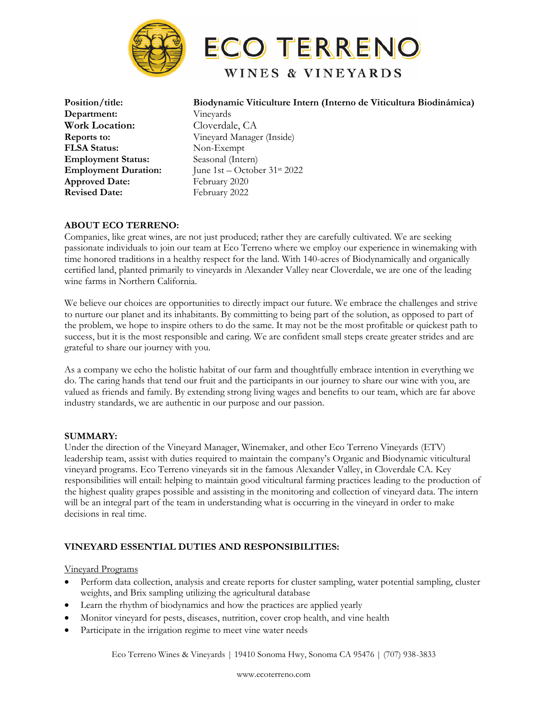

**Department:** Vineyards **Work Location:** Cloverdale, CA **Reports to:** Vineyard Manager (Inside) **FLSA Status:** Non-Exempt **Employment Status:** Seasonal (Intern) **Employment Duration:** June 1st – October 31<sup>st</sup> 2022 **Approved Date:** February 2020 **Revised Date:** February 2022

# **Position/title: Biodynamic Viticulture Intern (Interno de Viticultura Biodinámica)**

# **ABOUT ECO TERRENO:**

Companies, like great wines, are not just produced; rather they are carefully cultivated. We are seeking passionate individuals to join our team at Eco Terreno where we employ our experience in winemaking with time honored traditions in a healthy respect for the land. With 140-acres of Biodynamically and organically certified land, planted primarily to vineyards in Alexander Valley near Cloverdale, we are one of the leading wine farms in Northern California.

We believe our choices are opportunities to directly impact our future. We embrace the challenges and strive to nurture our planet and its inhabitants. By committing to being part of the solution, as opposed to part of the problem, we hope to inspire others to do the same. It may not be the most profitable or quickest path to success, but it is the most responsible and caring. We are confident small steps create greater strides and are grateful to share our journey with you.

As a company we echo the holistic habitat of our farm and thoughtfully embrace intention in everything we do. The caring hands that tend our fruit and the participants in our journey to share our wine with you, are valued as friends and family. By extending strong living wages and benefits to our team, which are far above industry standards, we are authentic in our purpose and our passion.

# **SUMMARY:**

Under the direction of the Vineyard Manager, Winemaker, and other Eco Terreno Vineyards (ETV) leadership team, assist with duties required to maintain the company's Organic and Biodynamic viticultural vineyard programs. Eco Terreno vineyards sit in the famous Alexander Valley, in Cloverdale CA. Key responsibilities will entail: helping to maintain good viticultural farming practices leading to the production of the highest quality grapes possible and assisting in the monitoring and collection of vineyard data. The intern will be an integral part of the team in understanding what is occurring in the vineyard in order to make decisions in real time.

# **VINEYARD ESSENTIAL DUTIES AND RESPONSIBILITIES:**

### Vineyard Programs

- Perform data collection, analysis and create reports for cluster sampling, water potential sampling, cluster weights, and Brix sampling utilizing the agricultural database
- Learn the rhythm of biodynamics and how the practices are applied yearly
- Monitor vineyard for pests, diseases, nutrition, cover crop health, and vine health
- Participate in the irrigation regime to meet vine water needs

Eco Terreno Wines & Vineyards | 19410 Sonoma Hwy, Sonoma CA 95476 | (707) 938-3833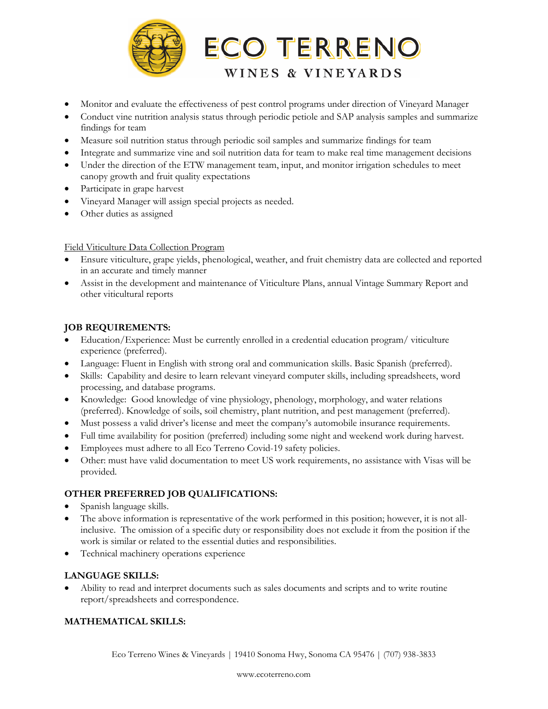

- Monitor and evaluate the effectiveness of pest control programs under direction of Vineyard Manager
- Conduct vine nutrition analysis status through periodic petiole and SAP analysis samples and summarize findings for team
- Measure soil nutrition status through periodic soil samples and summarize findings for team
- Integrate and summarize vine and soil nutrition data for team to make real time management decisions
- Under the direction of the ETW management team, input, and monitor irrigation schedules to meet canopy growth and fruit quality expectations
- Participate in grape harvest
- Vineyard Manager will assign special projects as needed.
- Other duties as assigned

Field Viticulture Data Collection Program

- Ensure viticulture, grape yields, phenological, weather, and fruit chemistry data are collected and reported in an accurate and timely manner
- Assist in the development and maintenance of Viticulture Plans, annual Vintage Summary Report and other viticultural reports

# **JOB REQUIREMENTS:**

- Education/Experience: Must be currently enrolled in a credential education program/ viticulture experience (preferred).
- Language: Fluent in English with strong oral and communication skills. Basic Spanish (preferred).
- Skills: Capability and desire to learn relevant vineyard computer skills, including spreadsheets, word processing, and database programs.
- Knowledge: Good knowledge of vine physiology, phenology, morphology, and water relations (preferred). Knowledge of soils, soil chemistry, plant nutrition, and pest management (preferred).
- Must possess a valid driver's license and meet the company's automobile insurance requirements.
- Full time availability for position (preferred) including some night and weekend work during harvest.
- Employees must adhere to all Eco Terreno Covid-19 safety policies.
- Other: must have valid documentation to meet US work requirements, no assistance with Visas will be provided.

# **OTHER PREFERRED JOB QUALIFICATIONS:**

- Spanish language skills.
- The above information is representative of the work performed in this position; however, it is not allinclusive. The omission of a specific duty or responsibility does not exclude it from the position if the work is similar or related to the essential duties and responsibilities.
- Technical machinery operations experience

# **LANGUAGE SKILLS:**

• Ability to read and interpret documents such as sales documents and scripts and to write routine report/spreadsheets and correspondence.

# **MATHEMATICAL SKILLS:**

Eco Terreno Wines & Vineyards | 19410 Sonoma Hwy, Sonoma CA 95476 | (707) 938-3833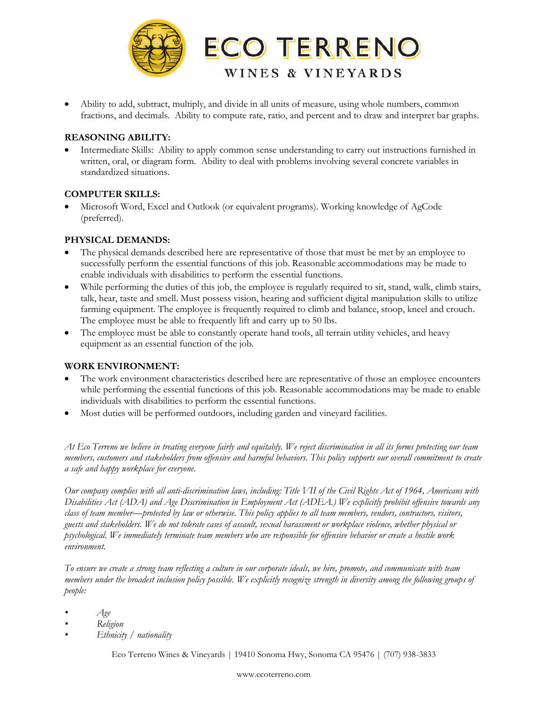

• Ability to add, subtract, multiply, and divide in all units of measure, using whole numbers, common fractions, and decimals. Ability to compute rate, ratio, and percent and to draw and interpret bar graphs.

# **REASONING ABILITY:**

• Intermediate Skills: Ability to apply common sense understanding to carry out instructions furnished in written, oral, or diagram form. Ability to deal with problems involving several concrete variables in standardized situations.

# **COMPUTER SKILLS:**

• Microsoft Word, Excel and Outlook (or equivalent programs). Working knowledge of AgCode (preferred).

# **PHYSICAL DEMANDS:**

- The physical demands described here are representative of those that must be met by an employee to successfully perform the essential functions of this job. Reasonable accommodations may be made to enable individuals with disabilities to perform the essential functions.
- While performing the duties of this job, the employee is regularly required to sit, stand, walk, climb stairs, talk, hear, taste and smell. Must possess vision, hearing and sufficient digital manipulation skills to utilize farming equipment. The employee is frequently required to climb and balance, stoop, kneel and crouch. The employee must be able to frequently lift and carry up to 50 lbs.
- The employee must be able to constantly operate hand tools, all terrain utility vehicles, and heavy equipment as an essential function of the job.

# **WORK ENVIRONMENT:**

- The work environment characteristics described here are representative of those an employee encounters while performing the essential functions of this job. Reasonable accommodations may be made to enable individuals with disabilities to perform the essential functions.
- Most duties will be performed outdoors, including garden and vineyard facilities.

*At Eco Terreno we believe in treating everyone fairly and equitably. We reject discrimination in all its forms protecting our team members, customers and stakeholders from offensive and harmful behaviors. This policy supports our overall commitment to create a safe and happy workplace for everyone.*

*Our company complies with all anti-discrimination laws, including: Title VII of the Civil Rights Act of 1964, Americans with Disabilities Act (ADA) and Age Discrimination in Employment Act (ADEA.) We explicitly prohibit offensive towards any class of team member—protected by law or otherwise. This policy applies to all team members, vendors, contractors, visitors, guests and stakeholders. We do not tolerate cases of assault, sexual harassment or workplace violence, whether physical or psychological. We immediately terminate team members who are responsible for offensive behavior or create a hostile work environment.*

*To ensure we create a strong team reflecting a culture in our corporate ideals, we hire, promote, and communicate with team members under the broadest inclusion policy possible. We explicitly recognize strength in diversity among the following groups of people:*

- *• Age*
- *• Religion*
- *• Ethnicity / nationality*

Eco Terreno Wines & Vineyards | 19410 Sonoma Hwy, Sonoma CA 95476 | (707) 938-3833